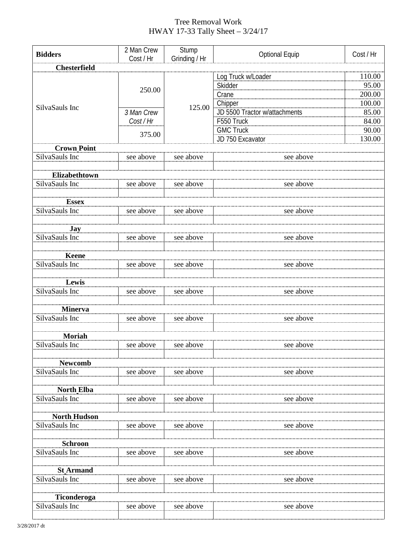## Tree Removal Work HWAY 17-33 Tally Sheet – 3/24/17

| <b>Bidders</b>                  | 2 Man Crew<br>Cost / Hr           | Stump         | <b>Optional Equip</b>         | Cost / Hr |  |  |
|---------------------------------|-----------------------------------|---------------|-------------------------------|-----------|--|--|
| <b>Chesterfield</b>             |                                   | Grinding / Hr |                               |           |  |  |
|                                 |                                   |               | Log Truck w/Loader            | 110.00    |  |  |
| SilvaSauls Inc                  | 250.00                            | 125.00        | Skidder                       | 95.00     |  |  |
|                                 |                                   |               | Crane                         | 200.00    |  |  |
|                                 |                                   |               | Chipper                       | 100.00    |  |  |
|                                 | 3 Man Crew<br>Cost / Hr<br>375.00 |               | JD 5500 Tractor w/attachments | 85.00     |  |  |
|                                 |                                   |               | F550 Truck                    | 84.00     |  |  |
|                                 |                                   |               | <b>GMC Truck</b>              | 90.00     |  |  |
|                                 |                                   |               | JD 750 Excavator              | 130.00    |  |  |
| <b>Crown Point</b>              |                                   |               |                               |           |  |  |
| SilvaSauls Inc                  | see above                         | see above     | see above                     |           |  |  |
| Elizabethtown                   |                                   |               |                               |           |  |  |
| SilvaSauls Inc                  | see above                         | see above     | see above                     |           |  |  |
|                                 |                                   |               |                               |           |  |  |
| <b>Essex</b>                    |                                   |               |                               |           |  |  |
| SilvaSauls Inc                  | see above                         | see above     | see above                     |           |  |  |
|                                 |                                   |               |                               |           |  |  |
| Jay                             |                                   |               |                               |           |  |  |
| SilvaSauls Inc                  | see above                         | see above     | see above                     |           |  |  |
|                                 |                                   |               |                               |           |  |  |
| <b>Keene</b><br>SilvaSauls Inc  | see above                         | see above     | see above                     |           |  |  |
|                                 |                                   |               |                               |           |  |  |
| Lewis                           |                                   |               |                               |           |  |  |
| SilvaSauls Inc                  | see above                         | see above     | see above                     |           |  |  |
|                                 |                                   |               |                               |           |  |  |
| <b>Minerva</b>                  |                                   |               |                               |           |  |  |
| SilvaSauls Inc                  | see above                         | see above     | see above                     |           |  |  |
|                                 |                                   |               |                               |           |  |  |
| <b>Moriah</b><br>SilvaSauls Inc |                                   |               |                               |           |  |  |
|                                 | see above                         | see above     | see above                     |           |  |  |
| <b>Newcomb</b>                  |                                   |               |                               |           |  |  |
| SilvaSauls Inc                  | see above                         | see above     | see above                     |           |  |  |
|                                 |                                   |               |                               |           |  |  |
| North_Elba                      |                                   |               |                               |           |  |  |
| SilvaSauls Inc                  | see above                         | see above     | see above                     |           |  |  |
|                                 |                                   |               |                               |           |  |  |
| <b>North Hudson</b>             |                                   |               |                               |           |  |  |
| SilvaSauls Inc                  | see above                         | see above     | see above                     |           |  |  |
| <b>Schroon</b>                  |                                   |               |                               |           |  |  |
| SilvaSauls Inc                  | see above                         | see above     | see above                     |           |  |  |
|                                 |                                   |               |                               |           |  |  |
| <b>St Armand</b>                |                                   |               |                               |           |  |  |
| SilvaSauls Inc                  | see above                         | see above     | see above                     |           |  |  |
|                                 |                                   |               |                               |           |  |  |
| Ticonderoga                     |                                   |               |                               |           |  |  |
| SilvaSauls Inc                  | see above                         | see above     | see above                     |           |  |  |
|                                 |                                   |               |                               |           |  |  |